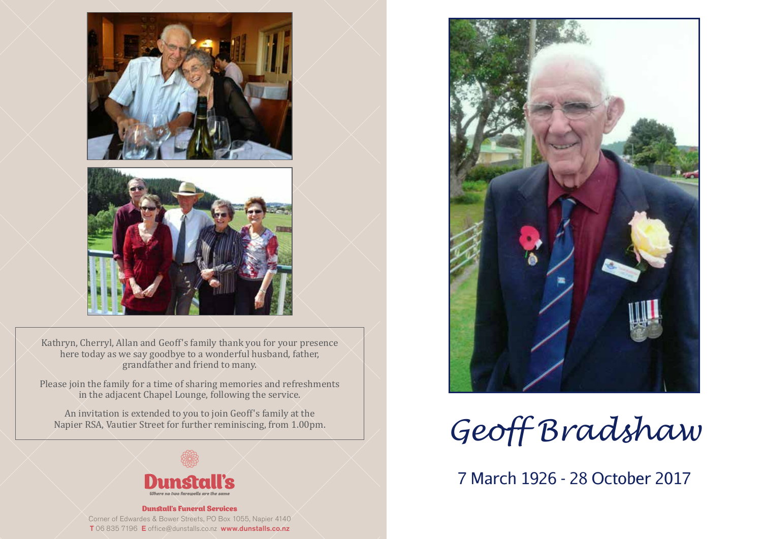



Kathryn, Cherryl, Allan and Geoff's family thank you for your presence here today as we say goodbye to a wonderful husband, father, grandfather and friend to many.

Please join the family for a time of sharing memories and refreshments in the adjacent Chapel Lounge, following the service.

An invitation is extended to you to join Geoff's family at the Napier RSA, Vautier Street for further reminiscing, from 1.00pm.



Dunstall's Funeral Services Corner of Edwardes & Bower Streets, PO Box 1055, Napier 4140 T 06 835 7196 E office@dunstalls.co.nz www.dunstalls.co.nz



*Geoff Bradshaw*

7 March 1926 - 28 October 2017